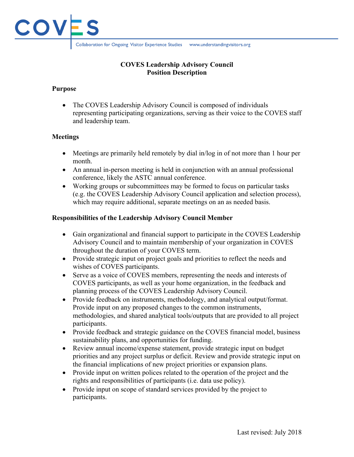

## **COVES Leadership Advisory Council Position Description**

# **Purpose**

• The COVES Leadership Advisory Council is composed of individuals representing participating organizations, serving as their voice to the COVES staff and leadership team.

# **Meetings**

- Meetings are primarily held remotely by dial in/log in of not more than 1 hour per month.
- An annual in-person meeting is held in conjunction with an annual professional conference, likely the ASTC annual conference.
- Working groups or subcommittees may be formed to focus on particular tasks (e.g. the COVES Leadership Advisory Council application and selection process), which may require additional, separate meetings on an as needed basis.

# **Responsibilities of the Leadership Advisory Council Member**

- Gain organizational and financial support to participate in the COVES Leadership Advisory Council and to maintain membership of your organization in COVES throughout the duration of your COVES term.
- Provide strategic input on project goals and priorities to reflect the needs and wishes of COVES participants.
- Serve as a voice of COVES members, representing the needs and interests of COVES participants, as well as your home organization, in the feedback and planning process of the COVES Leadership Advisory Council.
- Provide feedback on instruments, methodology, and analytical output/format. Provide input on any proposed changes to the common instruments, methodologies, and shared analytical tools/outputs that are provided to all project participants.
- Provide feedback and strategic guidance on the COVES financial model, business sustainability plans, and opportunities for funding.
- Review annual income/expense statement, provide strategic input on budget priorities and any project surplus or deficit. Review and provide strategic input on the financial implications of new project priorities or expansion plans.
- Provide input on written polices related to the operation of the project and the rights and responsibilities of participants (i.e. data use policy).
- Provide input on scope of standard services provided by the project to participants.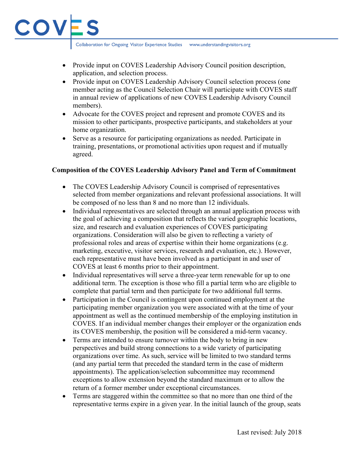Collaboration for Ongoing Visitor Experience Studies www.understandingvisitors.org

COV

- Provide input on COVES Leadership Advisory Council position description, application, and selection process.
- Provide input on COVES Leadership Advisory Council selection process (one member acting as the Council Selection Chair will participate with COVES staff in annual review of applications of new COVES Leadership Advisory Council members).
- Advocate for the COVES project and represent and promote COVES and its mission to other participants, prospective participants, and stakeholders at your home organization.
- Serve as a resource for participating organizations as needed. Participate in training, presentations, or promotional activities upon request and if mutually agreed.

## **Composition of the COVES Leadership Advisory Panel and Term of Commitment**

- The COVES Leadership Advisory Council is comprised of representatives selected from member organizations and relevant professional associations. It will be composed of no less than 8 and no more than 12 individuals.
- Individual representatives are selected through an annual application process with the goal of achieving a composition that reflects the varied geographic locations, size, and research and evaluation experiences of COVES participating organizations. Consideration will also be given to reflecting a variety of professional roles and areas of expertise within their home organizations (e.g. marketing, executive, visitor services, research and evaluation, etc.). However, each representative must have been involved as a participant in and user of COVES at least 6 months prior to their appointment.
- Individual representatives will serve a three-year term renewable for up to one additional term. The exception is those who fill a partial term who are eligible to complete that partial term and then participate for two additional full terms.
- Participation in the Council is contingent upon continued employment at the participating member organization you were associated with at the time of your appointment as well as the continued membership of the employing institution in COVES. If an individual member changes their employer or the organization ends its COVES membership, the position will be considered a mid-term vacancy.
- Terms are intended to ensure turnover within the body to bring in new perspectives and build strong connections to a wide variety of participating organizations over time. As such, service will be limited to two standard terms (and any partial term that preceded the standard term in the case of midterm appointments). The application/selection subcommittee may recommend exceptions to allow extension beyond the standard maximum or to allow the return of a former member under exceptional circumstances.
- Terms are staggered within the committee so that no more than one third of the representative terms expire in a given year. In the initial launch of the group, seats